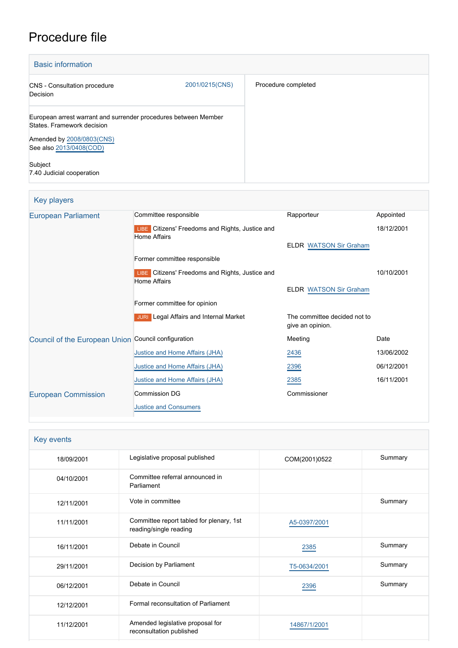# Procedure file

| <b>Basic information</b>                                                                      |                |                     |
|-----------------------------------------------------------------------------------------------|----------------|---------------------|
| <b>CNS</b> - Consultation procedure<br>Decision                                               | 2001/0215(CNS) | Procedure completed |
| European arrest warrant and surrender procedures between Member<br>States. Framework decision |                |                     |
| Amended by 2008/0803(CNS)<br>See also 2013/0408(COD)                                          |                |                     |
| Subject<br>7.40 Judicial cooperation                                                          |                |                     |

| Key players                                         |                                                                        |                                                  |            |
|-----------------------------------------------------|------------------------------------------------------------------------|--------------------------------------------------|------------|
| <b>European Parliament</b>                          | Committee responsible                                                  | Rapporteur                                       | Appointed  |
|                                                     | LIBE Citizens' Freedoms and Rights, Justice and<br><b>Home Affairs</b> |                                                  | 18/12/2001 |
|                                                     |                                                                        | <b>ELDR WATSON Sir Graham</b>                    |            |
|                                                     | Former committee responsible                                           |                                                  |            |
|                                                     | LIBE Citizens' Freedoms and Rights, Justice and<br><b>Home Affairs</b> |                                                  | 10/10/2001 |
|                                                     |                                                                        | <b>ELDR WATSON Sir Graham</b>                    |            |
|                                                     | Former committee for opinion                                           |                                                  |            |
|                                                     | <b>JURI</b> Legal Affairs and Internal Market                          | The committee decided not to<br>give an opinion. |            |
| Council of the European Union Council configuration |                                                                        | Meeting                                          | Date       |
|                                                     | Justice and Home Affairs (JHA)                                         | 2436                                             | 13/06/2002 |
|                                                     | Justice and Home Affairs (JHA)                                         | 2396                                             | 06/12/2001 |
|                                                     | Justice and Home Affairs (JHA)                                         | 2385                                             | 16/11/2001 |
| <b>European Commission</b>                          | <b>Commission DG</b>                                                   | Commissioner                                     |            |
|                                                     | <b>Justice and Consumers</b>                                           |                                                  |            |

| Key events |                                                                    |               |         |
|------------|--------------------------------------------------------------------|---------------|---------|
| 18/09/2001 | Legislative proposal published                                     | COM(2001)0522 | Summary |
| 04/10/2001 | Committee referral announced in<br>Parliament                      |               |         |
| 12/11/2001 | Vote in committee                                                  |               | Summary |
| 11/11/2001 | Committee report tabled for plenary, 1st<br>reading/single reading | A5-0397/2001  |         |
| 16/11/2001 | Debate in Council                                                  | 2385          | Summary |
| 29/11/2001 | Decision by Parliament                                             | T5-0634/2001  | Summary |
| 06/12/2001 | Debate in Council                                                  | 2396          | Summary |
| 12/12/2001 | Formal reconsultation of Parliament                                |               |         |
| 11/12/2001 | Amended legislative proposal for<br>reconsultation published       | 14867/1/2001  |         |
|            |                                                                    |               |         |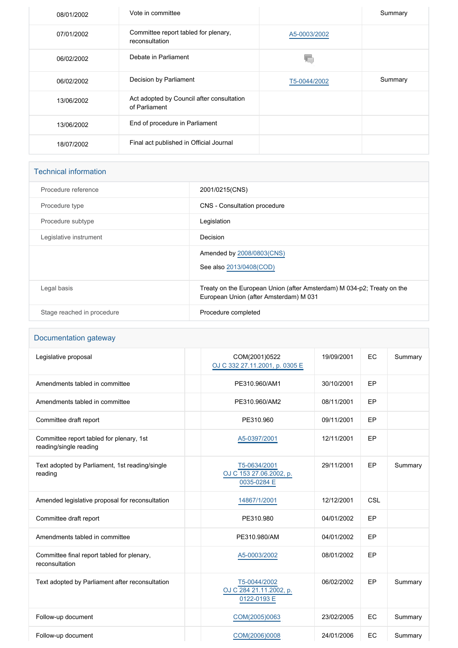| 08/01/2002 | Vote in committee                                          |              | Summary |
|------------|------------------------------------------------------------|--------------|---------|
| 07/01/2002 | Committee report tabled for plenary,<br>reconsultation     | A5-0003/2002 |         |
| 06/02/2002 | Debate in Parliament                                       |              |         |
| 06/02/2002 | Decision by Parliament                                     | T5-0044/2002 | Summary |
| 13/06/2002 | Act adopted by Council after consultation<br>of Parliament |              |         |
| 13/06/2002 | End of procedure in Parliament                             |              |         |
| 18/07/2002 | Final act published in Official Journal                    |              |         |

## Technical information

| Procedure reference        | 2001/0215(CNS)                                                                                                   |
|----------------------------|------------------------------------------------------------------------------------------------------------------|
| Procedure type             | CNS - Consultation procedure                                                                                     |
| Procedure subtype          | Legislation                                                                                                      |
| Legislative instrument     | Decision                                                                                                         |
|                            | Amended by 2008/0803(CNS)<br>See also 2013/0408(COD)                                                             |
| Legal basis                | Treaty on the European Union (after Amsterdam) M 034-p2; Treaty on the<br>European Union (after Amsterdam) M 031 |
| Stage reached in procedure | Procedure completed                                                                                              |
|                            |                                                                                                                  |

# Documentation gateway

| Legislative proposal                                               | COM(2001)0522<br>OJ C 332 27.11.2001, p. 0305 E        | 19/09/2001 | EC  | Summary |
|--------------------------------------------------------------------|--------------------------------------------------------|------------|-----|---------|
| Amendments tabled in committee                                     | PE310.960/AM1                                          | 30/10/2001 | EP  |         |
| Amendments tabled in committee                                     | PE310.960/AM2                                          | 08/11/2001 | EP  |         |
| Committee draft report                                             | PE310.960                                              | 09/11/2001 | EP  |         |
| Committee report tabled for plenary, 1st<br>reading/single reading | A5-0397/2001                                           | 12/11/2001 | EP  |         |
| Text adopted by Parliament, 1st reading/single<br>reading          | T5-0634/2001<br>OJ C 153 27.06.2002, p.<br>0035-0284 E | 29/11/2001 | EP  | Summary |
| Amended legislative proposal for reconsultation                    | 14867/1/2001                                           | 12/12/2001 | CSL |         |
| Committee draft report                                             | PE310.980                                              | 04/01/2002 | EP  |         |
| Amendments tabled in committee                                     | PE310.980/AM                                           | 04/01/2002 | EP  |         |
| Committee final report tabled for plenary,<br>reconsultation       | A5-0003/2002                                           | 08/01/2002 | EP  |         |
| Text adopted by Parliament after reconsultation                    | T5-0044/2002<br>OJ C 284 21.11.2002, p.<br>0122-0193 E | 06/02/2002 | EP  | Summary |
| Follow-up document                                                 | COM(2005)0063                                          | 23/02/2005 | EC  | Summary |
| Follow-up document                                                 | COM(2006)0008                                          | 24/01/2006 | EC  | Summary |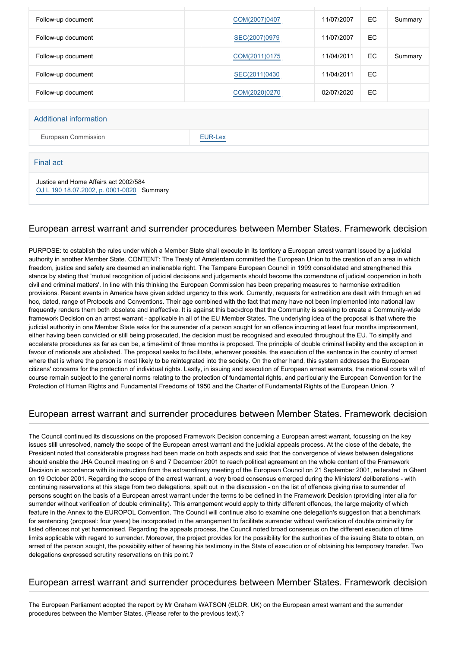| Follow-up document | COM(2007)0407 | 11/07/2007 | EC. | Summary |
|--------------------|---------------|------------|-----|---------|
| Follow-up document | SEC(2007)0979 | 11/07/2007 | EC  |         |
| Follow-up document | COM(2011)0175 | 11/04/2011 | EC. | Summary |
| Follow-up document | SEC(2011)0430 | 11/04/2011 | EC  |         |
| Follow-up document | COM(2020)0270 | 02/07/2020 | EC. |         |

#### Additional information

European Commission **[EUR-Lex](http://ec.europa.eu/prelex/liste_resultats.cfm?CL=en&ReqId=0&DocType=CNS&DocYear=2001&DocNum=0215)** 

#### Final act

Justice and Home Affairs act 2002/584

[OJ L 190 18.07.2002, p. 0001-0020](https://eur-lex.europa.eu/legal-content/EN/TXT/?uri=OJ:L:2002:190:TOC) Summary

#### European arrest warrant and surrender procedures between Member States. Framework decision

PURPOSE: to establish the rules under which a Member State shall execute in its territory a Euroepan arrest warrant issued by a judicial authority in another Member State. CONTENT: The Treaty of Amsterdam committed the European Union to the creation of an area in which freedom, justice and safety are deemed an inalienable right. The Tampere European Council in 1999 consolidated and strengthened this stance by stating that 'mutual recognition of judicial decisions and judgements should become the cornerstone of judicial cooperation in both civil and criminal matters'. In line with this thinking the European Commission has been preparing measures to harmonise extradition provisions. Recent events in America have given added urgency to this work. Currently, requests for extradition are dealt with through an ad hoc, dated, range of Protocols and Conventions. Their age combined with the fact that many have not been implemented into national law frequently renders them both obsolete and ineffective. It is against this backdrop that the Community is seeking to create a Community-wide framework Decision on an arrest warrant - applicable in all of the EU Member States. The underlying idea of the proposal is that where the judicial authority in one Member State asks for the surrender of a person sought for an offence incurring at least four months imprisonment, either having been convicted or still being prosecuted, the decision must be recognised and executed throughout the EU. To simplify and accelerate procedures as far as can be, a time-limit of three months is proposed. The principle of double criminal liability and the exception in favour of nationals are abolished. The proposal seeks to facilitate, wherever possible, the execution of the sentence in the country of arrest where that is where the person is most likely to be reintegrated into the society. On the other hand, this system addresses the European citizens' concerns for the protection of individual rights. Lastly, in issuing and execution of European arrest warrants, the national courts will of course remain subject to the general norms relating to the protection of fundamental rights, and particularly the European Convention for the Protection of Human Rights and Fundamental Freedoms of 1950 and the Charter of Fundamental Rights of the European Union. ?

### European arrest warrant and surrender procedures between Member States. Framework decision

The Council continued its discussions on the proposed Framework Decision concerning a European arrest warrant, focussing on the key issues still unresolved, namely the scope of the European arrest warrant and the judicial appeals process. At the close of the debate, the President noted that considerable progress had been made on both aspects and said that the convergence of views between delegations should enable the JHA Council meeting on 6 and 7 December 2001 to reach political agreement on the whole content of the Framework Decision in accordance with its instruction from the extraordinary meeting of the European Council on 21 September 2001, reiterated in Ghent on 19 October 2001. Regarding the scope of the arrest warrant, a very broad consensus emerged during the Ministers' deliberations - with continuing reservations at this stage from two delegations, spelt out in the discussion - on the list of offences giving rise to surrender of persons sought on the basis of a European arrest warrant under the terms to be defined in the Framework Decision (providing inter alia for surrender without verification of double criminality). This arrangement would apply to thirty different offences, the large majority of which feature in the Annex to the EUROPOL Convention. The Council will continue also to examine one delegation's suggestion that a benchmark for sentencing (proposal: four years) be incorporated in the arrangement to facilitate surrender without verification of double criminality for listed offences not yet harmonised. Regarding the appeals process, the Council noted broad consensus on the different execution of time limits applicable with regard to surrender. Moreover, the project provides for the possibility for the authorities of the issuing State to obtain, on arrest of the person sought, the possibility either of hearing his testimony in the State of execution or of obtaining his temporary transfer. Two delegations expressed scrutiny reservations on this point.?

### European arrest warrant and surrender procedures between Member States. Framework decision

The European Parliament adopted the report by Mr Graham WATSON (ELDR, UK) on the European arrest warrant and the surrender procedures between the Member States. (Please refer to the previous text).?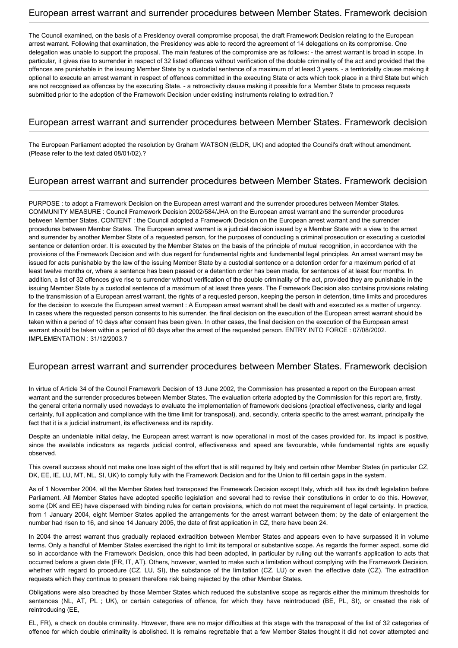#### European arrest warrant and surrender procedures between Member States. Framework decision

The Council examined, on the basis of a Presidency overall compromise proposal, the draft Framework Decision relating to the European arrest warrant. Following that examination, the Presidency was able to record the agreement of 14 delegations on its compromise. One delegation was unable to support the proposal. The main features of the compromise are as follows: - the arrest warrant is broad in scope. In particular, it gives rise to surrender in respect of 32 listed offences without verification of the double criminality of the act and provided that the offences are punishable in the issuing Member State by a custodial sentence of a maximum of at least 3 years. - a territoriality clause making it optional to execute an arrest warrant in respect of offences committed in the executing State or acts which took place in a third State but which are not recognised as offences by the executing State. - a retroactivity clause making it possible for a Member State to process requests submitted prior to the adoption of the Framework Decision under existing instruments relating to extradition.?

#### European arrest warrant and surrender procedures between Member States. Framework decision

The European Parliament adopted the resolution by Graham WATSON (ELDR, UK) and adopted the Council's draft without amendment. (Please refer to the text dated 08/01/02).?

### European arrest warrant and surrender procedures between Member States. Framework decision

PURPOSE : to adopt a Framework Decision on the European arrest warrant and the surrender procedures between Member States. COMMUNITY MEASURE : Council Framework Decision 2002/584/JHA on the European arrest warrant and the surrender procedures between Member States. CONTENT : the Council adopted a Framework Decision on the European arrest warrant and the surrender procedures between Member States. The European arrest warrant is a judicial decision issued by a Member State with a view to the arrest and surrender by another Member State of a requested person, for the purposes of conducting a criminal prosecution or executing a custodial sentence or detention order. It is executed by the Member States on the basis of the principle of mutual recognition, in accordance with the provisions of the Framework Decision and with due regard for fundamental rights and fundamental legal principles. An arrest warrant may be issued for acts punishable by the law of the issuing Member State by a custodial sentence or a detention order for a maximum period of at least twelve months or, where a sentence has been passed or a detention order has been made, for sentences of at least four months. In addition, a list of 32 offences give rise to surrender without verification of the double criminality of the act, provided they are punishable in the issuing Member State by a custodial sentence of a maximum of at least three years. The Framework Decision also contains provisions relating to the transmission of a European arrest warrant, the rights of a requested person, keeping the person in detention, time limits and procedures for the decision to execute the European arrest warrant : A European arrest warrant shall be dealt with and executed as a matter of urgency. In cases where the requested person consents to his surrender, the final decision on the execution of the European arrest warrant should be taken within a period of 10 days after consent has been given. In other cases, the final decision on the execution of the European arrest warrant should be taken within a period of 60 days after the arrest of the requested person. ENTRY INTO FORCE : 07/08/2002. IMPLEMENTATION : 31/12/2003.?

### European arrest warrant and surrender procedures between Member States. Framework decision

In virtue of Article 34 of the Council Framework Decision of 13 June 2002, the Commission has presented a report on the European arrest warrant and the surrender procedures between Member States. The evaluation criteria adopted by the Commission for this report are, firstly, the general criteria normally used nowadays to evaluate the implementation of framework decisions (practical effectiveness, clarity and legal certainty, full application and compliance with the time limit for transposal), and, secondly, criteria specific to the arrest warrant, principally the fact that it is a judicial instrument, its effectiveness and its rapidity.

Despite an undeniable initial delay, the European arrest warrant is now operational in most of the cases provided for. Its impact is positive, since the available indicators as regards judicial control, effectiveness and speed are favourable, while fundamental rights are equally observed.

This overall success should not make one lose sight of the effort that is still required by Italy and certain other Member States (in particular CZ, DK, EE, IE, LU, MT, NL, SI, UK) to comply fully with the Framework Decision and for the Union to fill certain gaps in the system.

As of 1 November 2004, all the Member States had transposed the Framework Decision except Italy, which still has its draft legislation before Parliament. All Member States have adopted specific legislation and several had to revise their constitutions in order to do this. However, some (DK and EE) have dispensed with binding rules for certain provisions, which do not meet the requirement of legal certainty. In practice, from 1 January 2004, eight Member States applied the arrangements for the arrest warrant between them; by the date of enlargement the number had risen to 16, and since 14 January 2005, the date of first application in CZ, there have been 24.

In 2004 the arrest warrant thus gradually replaced extradition between Member States and appears even to have surpassed it in volume terms. Only a handful of Member States exercised the right to limit its temporal or substantive scope. As regards the former aspect, some did so in accordance with the Framework Decision, once this had been adopted, in particular by ruling out the warrant's application to acts that occurred before a given date (FR, IT, AT). Others, however, wanted to make such a limitation without complying with the Framework Decision, whether with regard to procedure (CZ, LU, SI), the substance of the limitation (CZ, LU) or even the effective date (CZ). The extradition requests which they continue to present therefore risk being rejected by the other Member States.

Obligations were also breached by those Member States which reduced the substantive scope as regards either the minimum thresholds for sentences (NL, AT, PL ; UK), or certain categories of offence, for which they have reintroduced (BE, PL, SI), or created the risk of reintroducing (EE,

EL, FR), a check on double criminality. However, there are no major difficulties at this stage with the transposal of the list of 32 categories of offence for which double criminality is abolished. It is remains regrettable that a few Member States thought it did not cover attempted and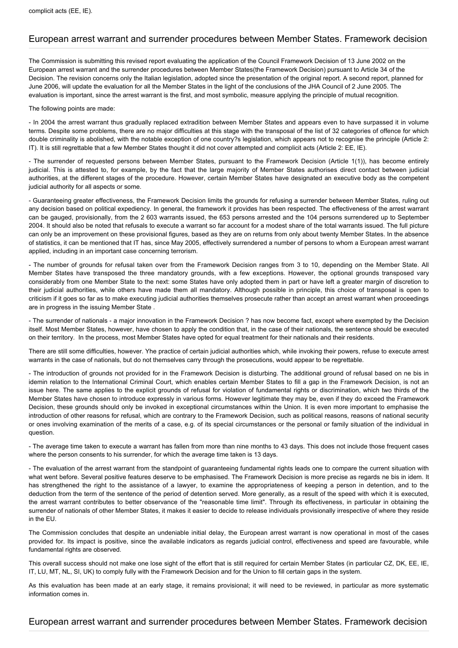### European arrest warrant and surrender procedures between Member States. Framework decision

The Commission is submitting this revised report evaluating the application of the Council Framework Decision of 13 June 2002 on the European arrest warrant and the surrender procedures between Member States(the Framework Decision) pursuant to Article 34 of the Decision. The revision concerns only the Italian legislation, adopted since the presentation of the original report. A second report, planned for June 2006, will update the evaluation for all the Member States in the light of the conclusions of the JHA Council of 2 June 2005. The evaluation is important, since the arrest warrant is the first, and most symbolic, measure applying the principle of mutual recognition.

#### The following points are made:

- In 2004 the arrest warrant thus gradually replaced extradition between Member States and appears even to have surpassed it in volume terms. Despite some problems, there are no major difficulties at this stage with the transposal of the list of 32 categories of offence for which double criminality is abolished, with the notable exception of one country?s legislation, which appears not to recognise the principle (Article 2: IT). It is still regrettable that a few Member States thought it did not cover attempted and complicit acts (Article 2: EE, IE).

- The surrender of requested persons between Member States, pursuant to the Framework Decision (Article 1(1)), has become entirely judicial. This is attested to, for example, by the fact that the large majority of Member States authorises direct contact between judicial authorities, at the different stages of the procedure. However, certain Member States have designated an executive body as the competent judicial authority for all aspects or some.

- Guaranteeing greater effectiveness, the Framework Decision limits the grounds for refusing a surrender between Member States, ruling out any decision based on political expediency. In general, the framework it provides has been respected. The effectiveness of the arrest warrant can be gauged, provisionally, from the 2 603 warrants issued, the 653 persons arrested and the 104 persons surrendered up to September 2004. It should also be noted that refusals to execute a warrant so far account for a modest share of the total warrants issued. The full picture can only be an improvement on these provisional figures, based as they are on returns from only about twenty Member States. In the absence of statistics, it can be mentioned that IT has, since May 2005, effectively surrendered a number of persons to whom a European arrest warrant applied, including in an important case concerning terrorism.

- The number of grounds for refusal taken over from the Framework Decision ranges from 3 to 10, depending on the Member State. All Member States have transposed the three mandatory grounds, with a few exceptions. However, the optional grounds transposed vary considerably from one Member State to the next: some States have only adopted them in part or have left a greater margin of discretion to their judicial authorities, while others have made them all mandatory. Although possible in principle, this choice of transposal is open to criticism if it goes so far as to make executing judicial authorities themselves prosecute rather than accept an arrest warrant when proceedings are in progress in the issuing Member State .

- The surrender of nationals - a major innovation in the Framework Decision ? has now become fact, except where exempted by the Decision itself. Most Member States, however, have chosen to apply the condition that, in the case of their nationals, the sentence should be executed on their territory. In the process, most Member States have opted for equal treatment for their nationals and their residents.

There are still some difficulties, however. Yhe practice of certain judicial authorities which, while invoking their powers, refuse to execute arrest warrants in the case of nationals, but do not themselves carry through the prosecutions, would appear to be regrettable.

- The introduction of grounds not provided for in the Framework Decision is disturbing. The additional ground of refusal based on ne bis in idemin relation to the International Criminal Court, which enables certain Member States to fill a gap in the Framework Decision, is not an issue here. The same applies to the explicit grounds of refusal for violation of fundamental rights or discrimination, which two thirds of the Member States have chosen to introduce expressly in various forms. However legitimate they may be, even if they do exceed the Framework Decision, these grounds should only be invoked in exceptional circumstances within the Union. It is even more important to emphasise the introduction of other reasons for refusal, which are contrary to the Framework Decision, such as political reasons, reasons of national security or ones involving examination of the merits of a case, e.g. of its special circumstances or the personal or family situation of the individual in question.

- The average time taken to execute a warrant has fallen from more than nine months to 43 days. This does not include those frequent cases where the person consents to his surrender, for which the average time taken is 13 days.

- The evaluation of the arrest warrant from the standpoint of guaranteeing fundamental rights leads one to compare the current situation with what went before. Several positive features deserve to be emphasised. The Framework Decision is more precise as regards ne bis in idem. It has strengthened the right to the assistance of a lawyer, to examine the appropriateness of keeping a person in detention, and to the deduction from the term of the sentence of the period of detention served. More generally, as a result of the speed with which it is executed, the arrest warrant contributes to better observance of the "reasonable time limit". Through its effectiveness, in particular in obtaining the surrender of nationals of other Member States, it makes it easier to decide to release individuals provisionally irrespective of where they reside in the EU.

The Commission concludes that despite an undeniable initial delay, the European arrest warrant is now operational in most of the cases provided for. Its impact is positive, since the available indicators as regards judicial control, effectiveness and speed are favourable, while fundamental rights are observed.

This overall success should not make one lose sight of the effort that is still required for certain Member States (in particular CZ, DK, EE, IE, IT, LU, MT, NL, SI, UK) to comply fully with the Framework Decision and for the Union to fill certain gaps in the system.

As this evaluation has been made at an early stage, it remains provisional; it will need to be reviewed, in particular as more systematic information comes in.

#### European arrest warrant and surrender procedures between Member States. Framework decision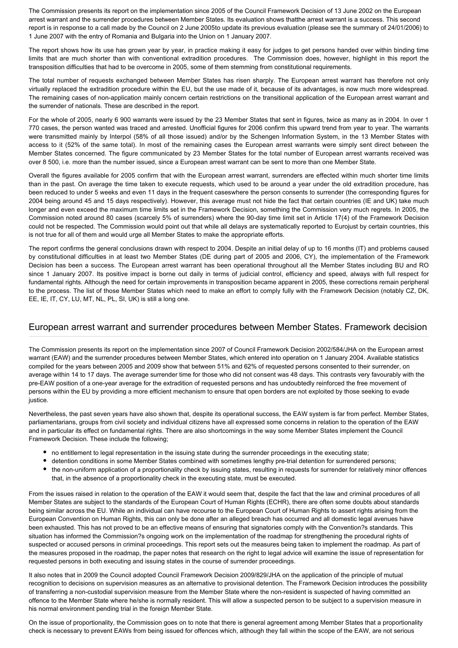The Commission presents its report on the implementation since 2005 of the Council Framework Decision of 13 June 2002 on the European arrest warrant and the surrender procedures between Member States. Its evaluation shows thatthe arrest warrant is a success. This second report is in response to a call made by the Council on 2 June 2005to update its previous evaluation (please see the summary of 24/01/2006) to 1 June 2007 with the entry of Romania and Bulgaria into the Union on 1 January 2007.

The report shows how its use has grown year by year, in practice making it easy for judges to get persons handed over within binding time limits that are much shorter than with conventional extradition procedures. The Commission does, however, highlight in this report the transposition difficulties that had to be overcome in 2005, some of them stemming from constitutional requirements.

The total number of requests exchanged between Member States has risen sharply. The European arrest warrant has therefore not only virtually replaced the extradition procedure within the EU, but the use made of it, because of its advantages, is now much more widespread. The remaining cases of non-application mainly concern certain restrictions on the transitional application of the European arrest warrant and the surrender of nationals. These are described in the report.

For the whole of 2005, nearly 6 900 warrants were issued by the 23 Member States that sent in figures, twice as many as in 2004. In over 1 770 cases, the person wanted was traced and arrested. Unofficial figures for 2006 confirm this upward trend from year to year. The warrants were transmitted mainly by Interpol (58% of all those issued) and/or by the Schengen Information System, in the 13 Member States with access to it (52% of the same total). In most of the remaining cases the European arrest warrants were simply sent direct between the Member States concerned. The figure communicated by 23 Member States for the total number of European arrest warrants received was over 8 500, i.e. more than the number issued, since a European arrest warrant can be sent to more than one Member State.

Overall the figures available for 2005 confirm that with the European arrest warrant, surrenders are effected within much shorter time limits than in the past. On average the time taken to execute requests, which used to be around a year under the old extradition procedure, has been reduced to under 5 weeks and even 11 days in the frequent caseswhere the person consents to surrender (the corresponding figures for 2004 being around 45 and 15 days respectively). However, this average must not hide the fact that certain countries (IE and UK) take much longer and even exceed the maximum time limits set in the Framework Decision, something the Commission very much regrets. In 2005, the Commission noted around 80 cases (scarcely 5% of surrenders) where the 90-day time limit set in Article 17(4) of the Framework Decision could not be respected. The Commission would point out that while all delays are systematically reported to Eurojust by certain countries, this is not true for all of them and would urge all Member States to make the appropriate efforts.

The report confirms the general conclusions drawn with respect to 2004. Despite an initial delay of up to 16 months (IT) and problems caused by constitutional difficulties in at least two Member States (DE during part of 2005 and 2006, CY), the implementation of the Framework Decision has been a success. The European arrest warrant has been operational throughout all the Member States including BU and RO since 1 January 2007. Its positive impact is borne out daily in terms of judicial control, efficiency and speed, always with full respect for fundamental rights. Although the need for certain improvements in transposition became apparent in 2005, these corrections remain peripheral to the process. The list of those Member States which need to make an effort to comply fully with the Framework Decision (notably CZ, DK, EE, IE, IT, CY, LU, MT, NL, PL, SI, UK) is still a long one.

#### European arrest warrant and surrender procedures between Member States. Framework decision

The Commission presents its report on the implementation since 2007 of Council Framework Decision 2002/584/JHA on the European arrest warrant (EAW) and the surrender procedures between Member States, which entered into operation on 1 January 2004. Available statistics compiled for the years between 2005 and 2009 show that between 51% and 62% of requested persons consented to their surrender, on average within 14 to 17 days. The average surrender time for those who did not consent was 48 days. This contrasts very favourably with the pre-EAW position of a one-year average for the extradition of requested persons and has undoubtedly reinforced the free movement of persons within the EU by providing a more efficient mechanism to ensure that open borders are not exploited by those seeking to evade justice.

Nevertheless, the past seven years have also shown that, despite its operational success, the EAW system is far from perfect. Member States, parliamentarians, groups from civil society and individual citizens have all expressed some concerns in relation to the operation of the EAW and in particular its effect on fundamental rights. There are also shortcomings in the way some Member States implement the Council Framework Decision. These include the following;

- no entitlement to legal representation in the issuing state during the surrender proceedings in the executing state;
- detention conditions in some Member States combined with sometimes lengthy pre-trial detention for surrendered persons;
- the non-uniform application of a proportionality check by issuing states, resulting in requests for surrender for relatively minor offences that, in the absence of a proportionality check in the executing state, must be executed.

From the issues raised in relation to the operation of the EAW it would seem that, despite the fact that the law and criminal procedures of all Member States are subject to the standards of the European Court of Human Rights (ECHR), there are often some doubts about standards being similar across the EU. While an individual can have recourse to the European Court of Human Rights to assert rights arising from the European Convention on Human Rights, this can only be done after an alleged breach has occurred and all domestic legal avenues have been exhausted. This has not proved to be an effective means of ensuring that signatories comply with the Convention?s standards. This situation has informed the Commission?s ongoing work on the implementation of the roadmap for strengthening the procedural rights of suspected or accused persons in criminal proceedings. This report sets out the measures being taken to implement the roadmap. As part of the measures proposed in the roadmap, the paper notes that research on the right to legal advice will examine the issue of representation for requested persons in both executing and issuing states in the course of surrender proceedings.

It also notes that in 2009 the Council adopted Council Framework Decision 2009/829/JHA on the application of the principle of mutual recognition to decisions on supervision measures as an alternative to provisional detention. The Framework Decision introduces the possibility of transferring a non-custodial supervision measure from the Member State where the non-resident is suspected of having committed an offence to the Member State where he/she is normally resident. This will allow a suspected person to be subject to a supervision measure in his normal environment pending trial in the foreign Member State.

On the issue of proportionality, the Commission goes on to note that there is general agreement among Member States that a proportionality check is necessary to prevent EAWs from being issued for offences which, although they fall within the scope of the EAW, are not serious